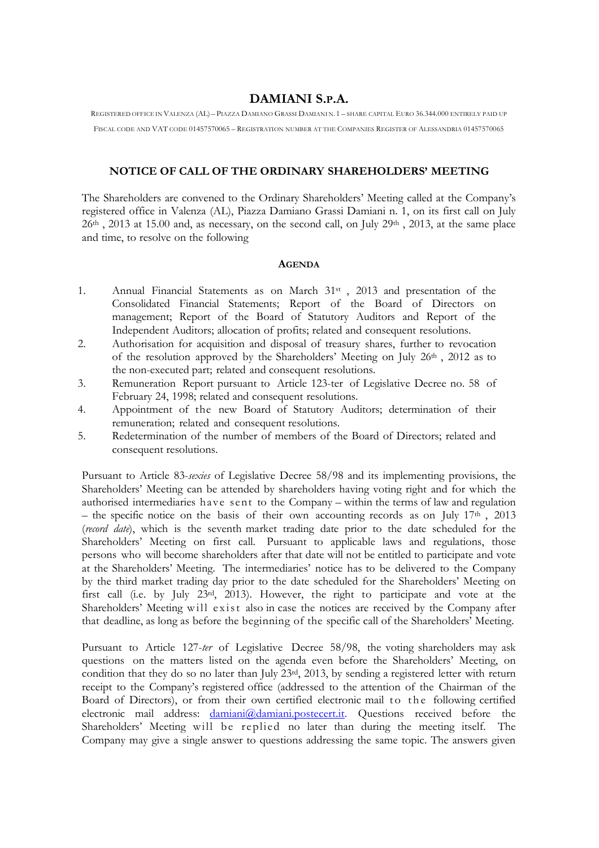## **DAMIANI S.P.A.**

REGISTERED OFFICE IN VALENZA (AL) – PIAZZA DAMIANO GRASSI DAMIANI N.1 – SHARE CAPITAL EURO 36.344.000 ENTIRELY PAID UP FISCAL CODE AND VAT CODE 01457570065 – REGISTRATION NUMBER AT THE COMPANIES REGISTER OF ALESSANDRIA 01457570065

## **NOTICE OF CALL OF THE ORDINARY SHAREHOLDERS' MEETING**

The Shareholders are convened to the Ordinary Shareholders' Meeting called at the Company's registered office in Valenza (AL), Piazza Damiano Grassi Damiani n. 1, on its first call on July 26<sup>th</sup>, 2013 at 15.00 and, as necessary, on the second call, on July 29<sup>th</sup>, 2013, at the same place and time, to resolve on the following

## **AGENDA**

- 1. Annual Financial Statements as on March 31st , 2013 and presentation of the Consolidated Financial Statements; Report of the Board of Directors on management; Report of the Board of Statutory Auditors and Report of the Independent Auditors; allocation of profits; related and consequent resolutions.
- 2. Authorisation for acquisition and disposal of treasury shares, further to revocation of the resolution approved by the Shareholders' Meeting on July 26<sup>th</sup>, 2012 as to the non-executed part; related and consequent resolutions.
- 3. Remuneration Report pursuant to Article 123-ter of Legislative Decree no. 58 of February 24, 1998; related and consequent resolutions.
- 4. Appointment of the new Board of Statutory Auditors; determination of their remuneration; related and consequent resolutions.
- 5. Redetermination of the number of members of the Board of Directors; related and consequent resolutions.

Pursuant to Article 83-*sexies* of Legislative Decree 58/98 and its implementing provisions, the Shareholders' Meeting can be attended by shareholders having voting right and for which the authorised intermediaries have sent to the Company – within the terms of law and regulation – the specific notice on the basis of their own accounting records as on July  $17<sup>th</sup>$ ,  $2013$ (*record date*), which is the seventh market trading date prior to the date scheduled for the Shareholders' Meeting on first call. Pursuant to applicable laws and regulations, those persons who will become shareholders after that date will not be entitled to participate and vote at the Shareholders' Meeting. The intermediaries' notice has to be delivered to the Company by the third market trading day prior to the date scheduled for the Shareholders' Meeting on first call (i.e. by July 23rd, 2013). However, the right to participate and vote at the Shareholders' Meeting will exist also in case the notices are received by the Company after that deadline, as long as before the beginning of the specific call of the Shareholders' Meeting.

Pursuant to Article 127-*ter* of Legislative Decree 58/98, the voting shareholders may ask questions on the matters listed on the agenda even before the Shareholders' Meeting, on condition that they do so no later than July 23rd, 2013, by sending a registered letter with return receipt to the Company's registered office (addressed to the attention of the Chairman of the Board of Directors), or from their own certified electronic mail to the following certified electronic mail address: [damiani@damiani.postecert.it.](mailto:damiani@damiani.postecert.it.) Questions received before the Shareholders' Meeting will be replied no later than during the meeting itself. The Company may give a single answer to questions addressing the same topic. The answers given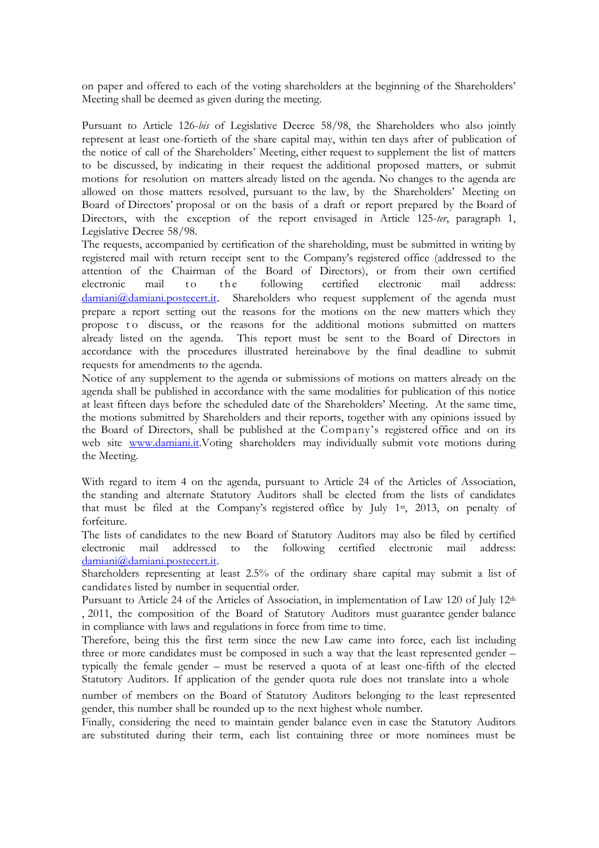on paper and offered to each of the voting shareholders at the beginning of the Shareholders' Meeting shall be deemed as given during the meeting.

Pursuant to Article 126-*bis* of Legislative Decree 58/98, the Shareholders who also jointly represent at least one-fortieth of the share capital may, within ten days after of publication of the notice of call of the Shareholders' Meeting, either request to supplement the list of matters to be discussed, by indicating in their request the additional proposed matters, or submit motions for resolution on matters already listed on the agenda. No changes to the agenda are allowed on those matters resolved, pursuant to the law, by the Shareholders' Meeting on Board of Directors' proposal or on the basis of a draft or report prepared by the Board of Directors, with the exception of the report envisaged in Article 125-*ter*, paragraph 1, Legislative Decree 58/98.

The requests, accompanied by certification of the shareholding, must be submitted in writing by registered mail with return receipt sent to the Company's registered office (addressed to the attention of the Chairman of the Board of Directors), or from their own certified electronic mail to the following certified electronic mail address: [damiani@damiani.postecert.it](mailto:damiani@damiani.postecert.it)[.](mailto:damiani@damiani.postecert.it) Shareholders who request supplement of the agenda must prepare a report setting out the reasons for the motions on the new matters which they propose to discuss, or the reasons for the additional motions submitted on matters already listed on the agenda. This report must be sent to the Board of Directors in accordance with the procedures illustrated hereinabove by the final deadline to submit requests for amendments to the agenda.

Notice of any supplement to the agenda or submissions of motions on matters already on the agenda shall be published in accordance with the same modalities for publication of this notice at least fifteen days before the scheduled date of the Shareholders' Meeting. At the same time, the motions submitted by Shareholders and their reports, together with any opinions issued by the Board of Directors, shall be published at the Company's registered office and on its web site [www.damiani.it.V](http://www.damiani.it./)oting shareholders may individually submit vote motions during the Meeting.

With regard to item 4 on the agenda, pursuant to Article 24 of the Articles of Association, the standing and alternate Statutory Auditors shall be elected from the lists of candidates that must be filed at the Company's registered office by July 1<sup>st</sup>, 2013, on penalty of forfeiture.

The lists of candidates to the new Board of Statutory Auditors may also be filed by certified electronic mail addressed to the following certified electronic mail address: [damiani@damiani.postecert.it.](mailto:segreteria.azionisti@pec.todsgroup.com)

Shareholders representing at least 2.5% of the ordinary share capital may submit a list of candidates listed by number in sequential order.

Pursuant to Article 24 of the Articles of Association, in implementation of Law 120 of July 12th , 2011, the composition of the Board of Statutory Auditors must guarantee gender balance in compliance with laws and regulations in force from time to time.

Therefore, being this the first term since the new Law came into force, each list including three or more candidates must be composed in such a way that the least represented gender – typically the female gender – must be reserved a quota of at least one-fifth of the elected Statutory Auditors. If application of the gender quota rule does not translate into a whole

number of members on the Board of Statutory Auditors belonging to the least represented gender, this number shall be rounded up to the next highest whole number.

Finally, considering the need to maintain gender balance even in case the Statutory Auditors are substituted during their term, each list containing three or more nominees must be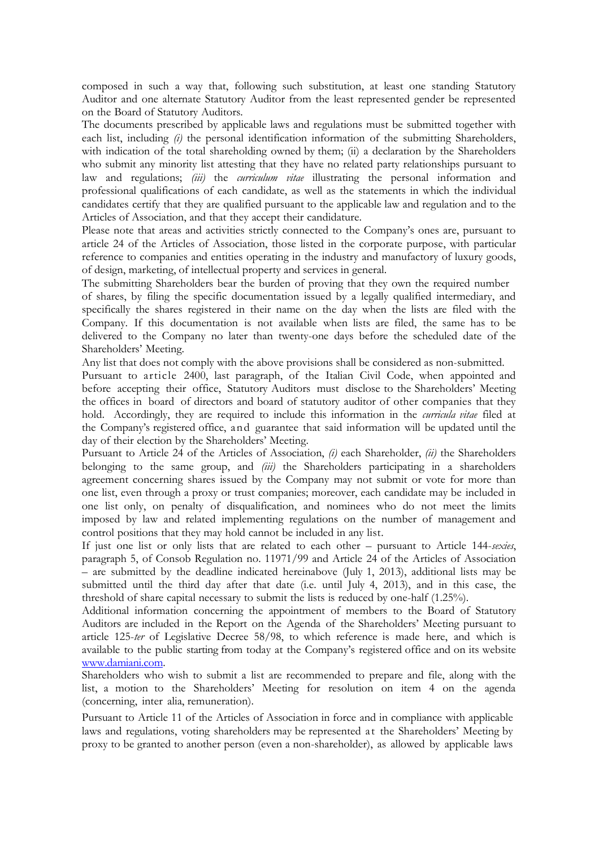composed in such a way that, following such substitution, at least one standing Statutory Auditor and one alternate Statutory Auditor from the least represented gender be represented on the Board of Statutory Auditors.

The documents prescribed by applicable laws and regulations must be submitted together with each list, including *(i)* the personal identification information of the submitting Shareholders, with indication of the total shareholding owned by them; (ii) a declaration by the Shareholders who submit any minority list attesting that they have no related party relationships pursuant to law and regulations; *(iii)* the *curriculum vitae* illustrating the personal information and professional qualifications of each candidate, as well as the statements in which the individual candidates certify that they are qualified pursuant to the applicable law and regulation and to the Articles of Association, and that they accept their candidature.

Please note that areas and activities strictly connected to the Company's ones are, pursuant to article 24 of the Articles of Association, those listed in the corporate purpose, with particular reference to companies and entities operating in the industry and manufactory of luxury goods, of design, marketing, of intellectual property and services in general.

The submitting Shareholders bear the burden of proving that they own the required number of shares, by filing the specific documentation issued by a legally qualified intermediary, and specifically the shares registered in their name on the day when the lists are filed with the Company. If this documentation is not available when lists are filed, the same has to be delivered to the Company no later than twenty-one days before the scheduled date of the

Any list that does not comply with the above provisions shall be considered as non-submitted.

Shareholders' Meeting.

Pursuant to article 2400, last paragraph, of the Italian Civil Code, when appointed and before accepting their office, Statutory Auditors must disclose to the Shareholders' Meeting the offices in board of directors and board of statutory auditor of other companies that they hold. Accordingly, they are required to include this information in the *curricula vitae* filed at the Company's registered office, and guarantee that said information will be updated until the day of their election by the Shareholders' Meeting.

Pursuant to Article 24 of the Articles of Association, *(i)* each Shareholder, *(ii)* the Shareholders belonging to the same group, and *(iii)* the Shareholders participating in a shareholders agreement concerning shares issued by the Company may not submit or vote for more than one list, even through a proxy or trust companies; moreover, each candidate may be included in one list only, on penalty of disqualification, and nominees who do not meet the limits imposed by law and related implementing regulations on the number of management and control positions that they may hold cannot be included in any list.

If just one list or only lists that are related to each other – pursuant to Article 144-*sexies*, paragraph 5, of Consob Regulation no. 11971/99 and Article 24 of the Articles of Association – are submitted by the deadline indicated hereinabove (July 1, 2013), additional lists may be submitted until the third day after that date (i.e. until July 4, 2013), and in this case, the threshold of share capital necessary to submit the lists is reduced by one-half (1.25%).

Additional information concerning the appointment of members to the Board of Statutory Auditors are included in the Report on the Agenda of the Shareholders' Meeting pursuant to article 125-*ter* of Legislative Decree 58/98, to which reference is made here, and which is available to the public starting from today at the Company's registered office and on its website [www.damiani.com.](http://www.todsgroup.com/)

Shareholders who wish to submit a list are recommended to prepare and file, along with the list, a motion to the Shareholders' Meeting for resolution on item 4 on the agenda (concerning, inter alia, remuneration).

Pursuant to Article 11 of the Articles of Association in force and in compliance with applicable laws and regulations, voting shareholders may be represented at the Shareholders' Meeting by proxy to be granted to another person (even a non-shareholder), as allowed by applicable laws